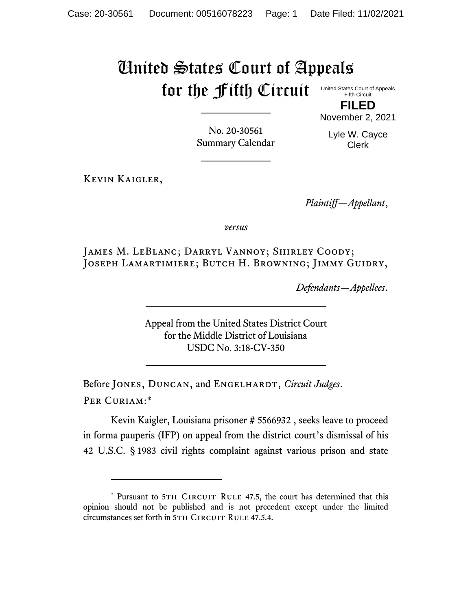## United States Court of Appeals for the Fifth Circuit

Summary Calendar

United States Court of Appeals Fifth Circuit **FILED**

No. 20-30561

November 2, 2021

Lyle W. Cayce Clerk

Kevin Kaigler,

*Plaintiff—Appellant*,

*versus*

James M. LeBlanc; Darryl Vannoy; Shirley Coody; Joseph Lamartimiere; Butch H. Browning; Jimmy Guidry,

*Defendants—Appellees*.

Appeal from the United States District Court for the Middle District of Louisiana USDC No. 3:18-CV-350

Before JONES, DUNCAN, and ENGELHARDT, *Circuit Judges*. Per Curiam:\*

Kevin Kaigler, Louisiana prisoner # 5566932 , seeks leave to proceed in forma pauperis (IFP) on appeal from the district court's dismissal of his 42 U.S.C. § 1983 civil rights complaint against various prison and state

<sup>\*</sup> Pursuant to 5TH CIRCUIT RULE 47.5, the court has determined that this opinion should not be published and is not precedent except under the limited circumstances set forth in 5TH CIRCUIT RULE 47.5.4.